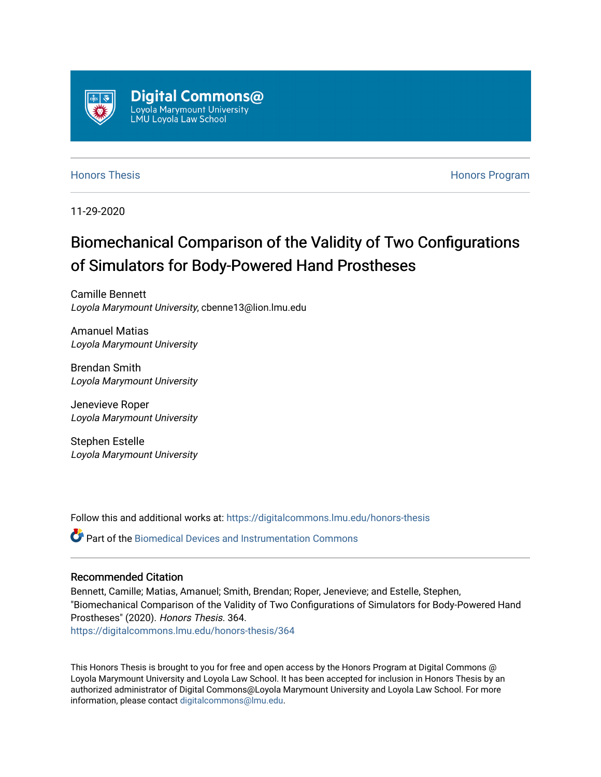

[Honors Thesis](https://digitalcommons.lmu.edu/honors-thesis) [Honors Program](https://digitalcommons.lmu.edu/lmu_honorsprogram) 

11-29-2020

## Biomechanical Comparison of the Validity of Two Configurations of Simulators for Body-Powered Hand Prostheses

Camille Bennett Loyola Marymount University, cbenne13@lion.lmu.edu

Amanuel Matias Loyola Marymount University

Brendan Smith Loyola Marymount University

Jenevieve Roper Loyola Marymount University

Stephen Estelle Loyola Marymount University

Follow this and additional works at: [https://digitalcommons.lmu.edu/honors-thesis](https://digitalcommons.lmu.edu/honors-thesis?utm_source=digitalcommons.lmu.edu%2Fhonors-thesis%2F364&utm_medium=PDF&utm_campaign=PDFCoverPages)

Part of the [Biomedical Devices and Instrumentation Commons](http://network.bepress.com/hgg/discipline/235?utm_source=digitalcommons.lmu.edu%2Fhonors-thesis%2F364&utm_medium=PDF&utm_campaign=PDFCoverPages) 

#### Recommended Citation

Bennett, Camille; Matias, Amanuel; Smith, Brendan; Roper, Jenevieve; and Estelle, Stephen, "Biomechanical Comparison of the Validity of Two Configurations of Simulators for Body-Powered Hand Prostheses" (2020). Honors Thesis. 364. [https://digitalcommons.lmu.edu/honors-thesis/364](https://digitalcommons.lmu.edu/honors-thesis/364?utm_source=digitalcommons.lmu.edu%2Fhonors-thesis%2F364&utm_medium=PDF&utm_campaign=PDFCoverPages) 

This Honors Thesis is brought to you for free and open access by the Honors Program at Digital Commons @ Loyola Marymount University and Loyola Law School. It has been accepted for inclusion in Honors Thesis by an authorized administrator of Digital Commons@Loyola Marymount University and Loyola Law School. For more information, please contact [digitalcommons@lmu.edu.](mailto:digitalcommons@lmu.edu)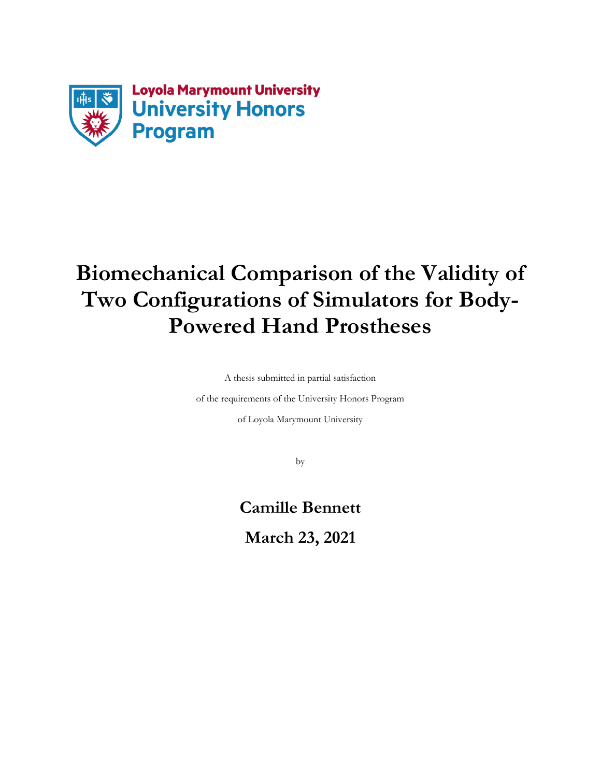

# **Biomechanical Comparison of the Validity of Two Configurations of Simulators for Body-Powered Hand Prostheses**

A thesis submitted in partial satisfaction

of the requirements of the University Honors Program

of Loyola Marymount University

by

## **Camille Bennett**

**March 23, 2021**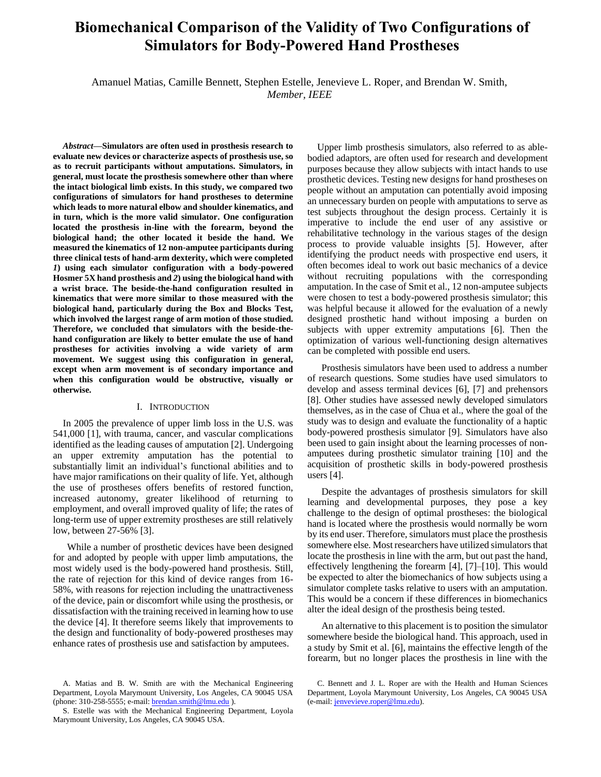### **Biomechanical Comparison of the Validity of Two Configurations of Simulators for Body-Powered Hand Prostheses**

Amanuel Matias, Camille Bennett, Stephen Estelle, Jenevieve L. Roper, and Brendan W. Smith, *Member, IEEE*

*Abstract***—Simulators are often used in prosthesis research to evaluate new devices or characterize aspects of prosthesis use, so as to recruit participants without amputations. Simulators, in general, must locate the prosthesis somewhere other than where the intact biological limb exists. In this study, we compared two configurations of simulators for hand prostheses to determine which leads to more natural elbow and shoulder kinematics, and in turn, which is the more valid simulator. One configuration located the prosthesis in-line with the forearm, beyond the biological hand; the other located it beside the hand. We measured the kinematics of 12 non-amputee participants during three clinical tests of hand-arm dexterity, which were completed**  *1***) using each simulator configuration with a body-powered Hosmer 5X hand prosthesis and** *2***) using the biological hand with a wrist brace. The beside-the-hand configuration resulted in kinematics that were more similar to those measured with the biological hand, particularly during the Box and Blocks Test, which involved the largest range of arm motion of those studied. Therefore, we concluded that simulators with the beside-thehand configuration are likely to better emulate the use of hand prostheses for activities involving a wide variety of arm movement. We suggest using this configuration in general, except when arm movement is of secondary importance and when this configuration would be obstructive, visually or otherwise.** 

#### I. INTRODUCTION

In 2005 the prevalence of upper limb loss in the U.S. was 541,000 [1], with trauma, cancer, and vascular complications identified as the leading causes of amputation [2]. Undergoing an upper extremity amputation has the potential to substantially limit an individual's functional abilities and to have major ramifications on their quality of life. Yet, although the use of prostheses offers benefits of restored function, increased autonomy, greater likelihood of returning to employment, and overall improved quality of life; the rates of long-term use of upper extremity prostheses are still relatively low, between 27-56% [3].

While a number of prosthetic devices have been designed for and adopted by people with upper limb amputations, the most widely used is the body-powered hand prosthesis. Still, the rate of rejection for this kind of device ranges from 16- 58%, with reasons for rejection including the unattractiveness of the device, pain or discomfort while using the prosthesis, or dissatisfaction with the training received in learning how to use the device [4]. It therefore seems likely that improvements to the design and functionality of body-powered prostheses may enhance rates of prosthesis use and satisfaction by amputees.

A. Matias and B. W. Smith are with the Mechanical Engineering Department, Loyola Marymount University, Los Angeles, CA 90045 USA (phone: 310-258-5555; e-mail[: brendan.smith@lmu.edu](mailto:brendan.smith@lmu.edu) ).

S. Estelle was with the Mechanical Engineering Department, Loyola Marymount University, Los Angeles, CA 90045 USA.

Upper limb prosthesis simulators, also referred to as ablebodied adaptors, are often used for research and development purposes because they allow subjects with intact hands to use prosthetic devices. Testing new designs for hand prostheses on people without an amputation can potentially avoid imposing an unnecessary burden on people with amputations to serve as test subjects throughout the design process. Certainly it is imperative to include the end user of any assistive or rehabilitative technology in the various stages of the design process to provide valuable insights [5]. However, after identifying the product needs with prospective end users, it often becomes ideal to work out basic mechanics of a device without recruiting populations with the corresponding amputation. In the case of Smit et al., 12 non-amputee subjects were chosen to test a body-powered prosthesis simulator; this was helpful because it allowed for the evaluation of a newly designed prosthetic hand without imposing a burden on subjects with upper extremity amputations [6]. Then the optimization of various well-functioning design alternatives can be completed with possible end users.

Prosthesis simulators have been used to address a number of research questions. Some studies have used simulators to develop and assess terminal devices [6], [7] and prehensors [8]. Other studies have assessed newly developed simulators themselves, as in the case of Chua et al., where the goal of the study was to design and evaluate the functionality of a haptic body-powered prosthesis simulator [9]. Simulators have also been used to gain insight about the learning processes of nonamputees during prosthetic simulator training [10] and the acquisition of prosthetic skills in body-powered prosthesis users [4].

Despite the advantages of prosthesis simulators for skill learning and developmental purposes, they pose a key challenge to the design of optimal prostheses: the biological hand is located where the prosthesis would normally be worn by its end user. Therefore, simulators must place the prosthesis somewhere else. Most researchers have utilized simulators that locate the prosthesis in line with the arm, but out past the hand, effectively lengthening the forearm [4], [7]–[10]. This would be expected to alter the biomechanics of how subjects using a simulator complete tasks relative to users with an amputation. This would be a concern if these differences in biomechanics alter the ideal design of the prosthesis being tested.

An alternative to this placement is to position the simulator somewhere beside the biological hand. This approach, used in a study by Smit et al. [6], maintains the effective length of the forearm, but no longer places the prosthesis in line with the

C. Bennett and J. L. Roper are with the Health and Human Sciences Department, Loyola Marymount University, Los Angeles, CA 90045 USA (e-mail[: jenvevieve.roper@lmu.edu\)](mailto:jenvevieve.roper@lmu.edu).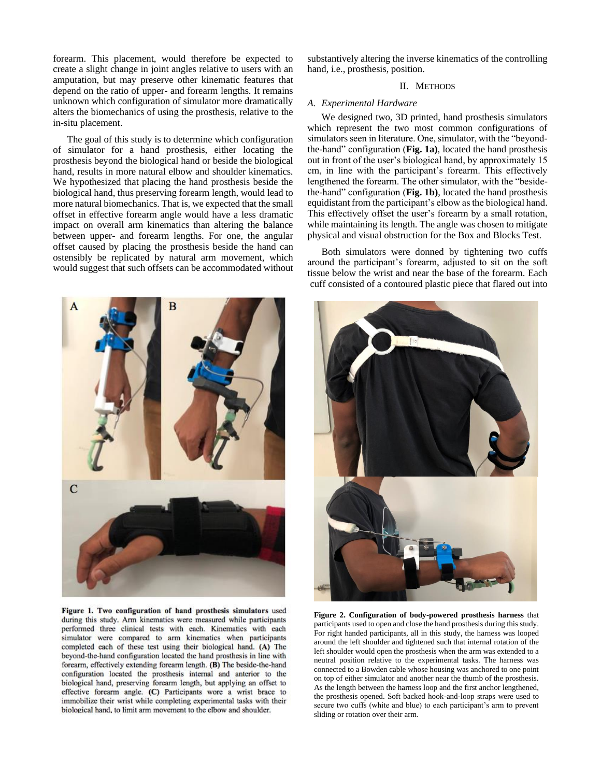forearm. This placement, would therefore be expected to create a slight change in joint angles relative to users with an amputation, but may preserve other kinematic features that depend on the ratio of upper- and forearm lengths. It remains unknown which configuration of simulator more dramatically alters the biomechanics of using the prosthesis, relative to the in-situ placement.

The goal of this study is to determine which configuration of simulator for a hand prosthesis, either locating the prosthesis beyond the biological hand or beside the biological hand, results in more natural elbow and shoulder kinematics. We hypothesized that placing the hand prosthesis beside the biological hand, thus preserving forearm length, would lead to more natural biomechanics. That is, we expected that the small offset in effective forearm angle would have a less dramatic impact on overall arm kinematics than altering the balance between upper- and forearm lengths. For one, the angular offset caused by placing the prosthesis beside the hand can ostensibly be replicated by natural arm movement, which would suggest that such offsets can be accommodated without



Figure 1. Two configuration of hand prosthesis simulators used during this study. Arm kinematics were measured while participants performed three clinical tests with each. Kinematics with each simulator were compared to arm kinematics when participants completed each of these test using their biological hand. (A) The beyond-the-hand configuration located the hand prosthesis in line with forearm, effectively extending forearm length. (B) The beside-the-hand configuration located the prosthesis internal and anterior to the biological hand, preserving forearm length, but applying an offset to effective forearm angle. (C) Participants wore a wrist brace to immobilize their wrist while completing experimental tasks with their biological hand, to limit arm movement to the elbow and shoulder.

substantively altering the inverse kinematics of the controlling hand, i.e., prosthesis, position.

#### II. METHODS

#### *A. Experimental Hardware*

We designed two, 3D printed, hand prosthesis simulators which represent the two most common configurations of simulators seen in literature. One, simulator, with the "beyondthe-hand" configuration (**Fig. 1a)**, located the hand prosthesis out in front of the user's biological hand, by approximately 15 cm, in line with the participant's forearm. This effectively lengthened the forearm. The other simulator, with the "besidethe-hand" configuration (**Fig. 1b)**, located the hand prosthesis equidistant from the participant's elbow as the biological hand. This effectively offset the user's forearm by a small rotation, while maintaining its length. The angle was chosen to mitigate physical and visual obstruction for the Box and Blocks Test.

Both simulators were donned by tightening two cuffs around the participant's forearm, adjusted to sit on the soft tissue below the wrist and near the base of the forearm. Each cuff consisted of a contoured plastic piece that flared out into



**Figure 2. Configuration of body-powered prosthesis harness** that participants used to open and close the hand prosthesis during this study. For right handed participants, all in this study, the harness was looped around the left shoulder and tightened such that internal rotation of the left shoulder would open the prosthesis when the arm was extended to a neutral position relative to the experimental tasks. The harness was connected to a Bowden cable whose housing was anchored to one point on top of either simulator and another near the thumb of the prosthesis. As the length between the harness loop and the first anchor lengthened, the prosthesis opened. Soft backed hook-and-loop straps were used to secure two cuffs (white and blue) to each participant's arm to prevent sliding or rotation over their arm.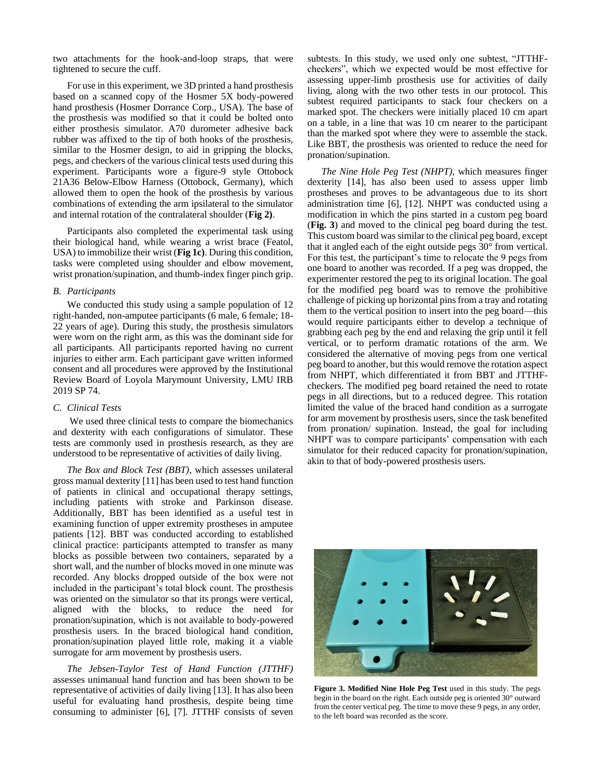two attachments for the hook-and-loop straps, that were tightened to secure the cuff.

For use in this experiment, we 3D printed a hand prosthesis based on a scanned copy of the Hosmer 5X body-powered hand prosthesis (Hosmer Dorrance Corp., USA). The base of the prosthesis was modified so that it could be bolted onto either prosthesis simulator. A70 durometer adhesive back rubber was affixed to the tip of both hooks of the prosthesis, similar to the Hosmer design, to aid in gripping the blocks, pegs, and checkers of the various clinical tests used during this experiment. Participants wore a figure-9 style Ottobock 21A36 Below-Elbow Harness (Ottobock, Germany), which allowed them to open the hook of the prosthesis by various combinations of extending the arm ipsilateral to the simulator and internal rotation of the contralateral shoulder (**Fig 2)**.

Participants also completed the experimental task using their biological hand, while wearing a wrist brace (Featol, USA) to immobilize their wrist (**Fig 1c)**. During this condition, tasks were completed using shoulder and elbow movement, wrist pronation/supination, and thumb-index finger pinch grip.

#### *B. Participants*

We conducted this study using a sample population of 12 right-handed, non-amputee participants (6 male, 6 female; 18- 22 years of age). During this study, the prosthesis simulators were worn on the right arm, as this was the dominant side for all participants. All participants reported having no current injuries to either arm. Each participant gave written informed consent and all procedures were approved by the Institutional Review Board of Loyola Marymount University, LMU IRB 2019 SP 74.

#### *C. Clinical Tests*

We used three clinical tests to compare the biomechanics and dexterity with each configurations of simulator. These tests are commonly used in prosthesis research, as they are understood to be representative of activities of daily living.

*The Box and Block Test (BBT)*, which assesses unilateral gross manual dexterity [11] has been used to test hand function of patients in clinical and occupational therapy settings, including patients with stroke and Parkinson disease. Additionally, BBT has been identified as a useful test in examining function of upper extremity prostheses in amputee patients [12]. BBT was conducted according to established clinical practice: participants attempted to transfer as many blocks as possible between two containers, separated by a short wall, and the number of blocks moved in one minute was recorded. Any blocks dropped outside of the box were not included in the participant's total block count. The prosthesis was oriented on the simulator so that its prongs were vertical, aligned with the blocks, to reduce the need for pronation/supination, which is not available to body-powered prosthesis users. In the braced biological hand condition, pronation/supination played little role, making it a viable surrogate for arm movement by prosthesis users.

*The Jebsen-Taylor Test of Hand Function (JTTHF)*  assesses unimanual hand function and has been shown to be representative of activities of daily living [13]. It has also been useful for evaluating hand prosthesis, despite being time consuming to administer [6], [7]. JTTHF consists of seven subtests. In this study, we used only one subtest, "JTTHFcheckers", which we expected would be most effective for assessing upper-limb prosthesis use for activities of daily living, along with the two other tests in our protocol. This subtest required participants to stack four checkers on a marked spot. The checkers were initially placed 10 cm apart on a table, in a line that was 10 cm nearer to the participant than the marked spot where they were to assemble the stack. Like BBT, the prosthesis was oriented to reduce the need for pronation/supination.

*The Nine Hole Peg Test (NHPT),* which measures finger dexterity [14], has also been used to assess upper limb prostheses and proves to be advantageous due to its short administration time [6], [12]. NHPT was conducted using a modification in which the pins started in a custom peg board (**Fig. 3**) and moved to the clinical peg board during the test. This custom board was similar to the clinical peg board, except that it angled each of the eight outside pegs 30° from vertical. For this test, the participant's time to relocate the 9 pegs from one board to another was recorded. If a peg was dropped, the experimenter restored the peg to its original location. The goal for the modified peg board was to remove the prohibitive challenge of picking up horizontal pins from a tray and rotating them to the vertical position to insert into the peg board—this would require participants either to develop a technique of grabbing each peg by the end and relaxing the grip until it fell vertical, or to perform dramatic rotations of the arm. We considered the alternative of moving pegs from one vertical peg board to another, but this would remove the rotation aspect from NHPT, which differentiated it from BBT and JTTHFcheckers. The modified peg board retained the need to rotate pegs in all directions, but to a reduced degree. This rotation limited the value of the braced hand condition as a surrogate for arm movement by prosthesis users, since the task benefited from pronation/ supination. Instead, the goal for including NHPT was to compare participants' compensation with each simulator for their reduced capacity for pronation/supination, akin to that of body-powered prosthesis users.



**Figure 3. Modified Nine Hole Peg Test** used in this study. The pegs begin in the board on the right. Each outside peg is oriented 30° outward from the center vertical peg. The time to move these 9 pegs, in any order, to the left board was recorded as the score.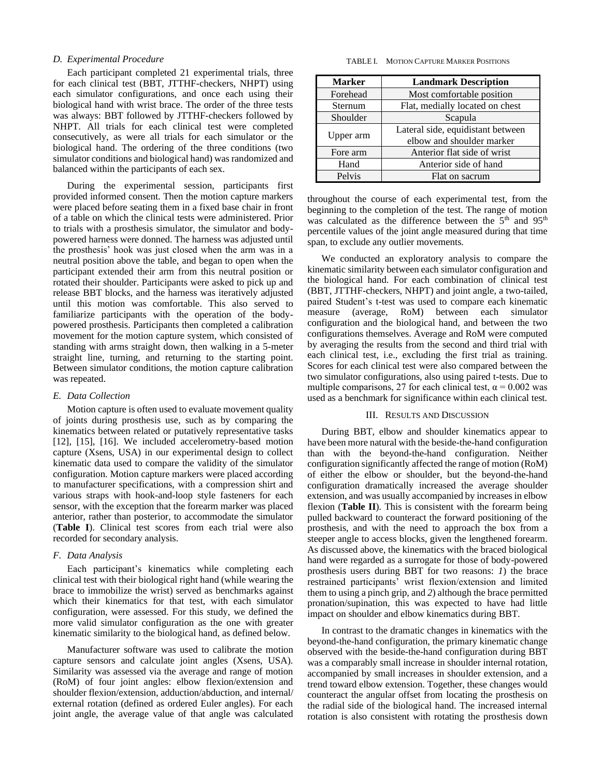#### *D. Experimental Procedure*

Each participant completed 21 experimental trials, three for each clinical test (BBT, JTTHF-checkers, NHPT) using each simulator configurations, and once each using their biological hand with wrist brace. The order of the three tests was always: BBT followed by JTTHF-checkers followed by NHPT. All trials for each clinical test were completed consecutively, as were all trials for each simulator or the biological hand. The ordering of the three conditions (two simulator conditions and biological hand) was randomized and balanced within the participants of each sex.

During the experimental session, participants first provided informed consent. Then the motion capture markers were placed before seating them in a fixed base chair in front of a table on which the clinical tests were administered. Prior to trials with a prosthesis simulator, the simulator and bodypowered harness were donned. The harness was adjusted until the prosthesis' hook was just closed when the arm was in a neutral position above the table, and began to open when the participant extended their arm from this neutral position or rotated their shoulder. Participants were asked to pick up and release BBT blocks, and the harness was iteratively adjusted until this motion was comfortable. This also served to familiarize participants with the operation of the bodypowered prosthesis. Participants then completed a calibration movement for the motion capture system, which consisted of standing with arms straight down, then walking in a 5-meter straight line, turning, and returning to the starting point. Between simulator conditions, the motion capture calibration was repeated.

#### *E. Data Collection*

Motion capture is often used to evaluate movement quality of joints during prosthesis use, such as by comparing the kinematics between related or putatively representative tasks [12], [15], [16]. We included accelerometry-based motion capture (Xsens, USA) in our experimental design to collect kinematic data used to compare the validity of the simulator configuration. Motion capture markers were placed according to manufacturer specifications, with a compression shirt and various straps with hook-and-loop style fasteners for each sensor, with the exception that the forearm marker was placed anterior, rather than posterior, to accommodate the simulator (**Table I**). Clinical test scores from each trial were also recorded for secondary analysis.

#### *F. Data Analysis*

Each participant's kinematics while completing each clinical test with their biological right hand (while wearing the brace to immobilize the wrist) served as benchmarks against which their kinematics for that test, with each simulator configuration, were assessed. For this study, we defined the more valid simulator configuration as the one with greater kinematic similarity to the biological hand, as defined below.

Manufacturer software was used to calibrate the motion capture sensors and calculate joint angles (Xsens, USA). Similarity was assessed via the average and range of motion (RoM) of four joint angles: elbow flexion/extension and shoulder flexion/extension, adduction/abduction, and internal/ external rotation (defined as ordered Euler angles). For each joint angle, the average value of that angle was calculated

TABLE I. MOTION CAPTURE MARKER POSITIONS

| <b>Marker</b> | <b>Landmark Description</b>       |  |  |  |  |  |  |  |
|---------------|-----------------------------------|--|--|--|--|--|--|--|
| Forehead      | Most comfortable position         |  |  |  |  |  |  |  |
| Sternum       | Flat, medially located on chest   |  |  |  |  |  |  |  |
| Shoulder      | Scapula                           |  |  |  |  |  |  |  |
| Upper arm     | Lateral side, equidistant between |  |  |  |  |  |  |  |
|               | elbow and shoulder marker         |  |  |  |  |  |  |  |
| Fore arm      | Anterior flat side of wrist       |  |  |  |  |  |  |  |
| Hand          | Anterior side of hand             |  |  |  |  |  |  |  |
| Pelvis        | Flat on sacrum                    |  |  |  |  |  |  |  |

throughout the course of each experimental test, from the beginning to the completion of the test. The range of motion was calculated as the difference between the 5<sup>th</sup> and 95<sup>th</sup> percentile values of the joint angle measured during that time span, to exclude any outlier movements.

We conducted an exploratory analysis to compare the kinematic similarity between each simulator configuration and the biological hand. For each combination of clinical test (BBT, JTTHF-checkers, NHPT) and joint angle, a two-tailed, paired Student's t-test was used to compare each kinematic measure (average, RoM) between each simulator configuration and the biological hand, and between the two configurations themselves. Average and RoM were computed by averaging the results from the second and third trial with each clinical test, i.e., excluding the first trial as training. Scores for each clinical test were also compared between the two simulator configurations, also using paired t-tests. Due to multiple comparisons, 27 for each clinical test,  $\alpha = 0.002$  was used as a benchmark for significance within each clinical test.

#### III. RESULTS AND DISCUSSION

During BBT, elbow and shoulder kinematics appear to have been more natural with the beside-the-hand configuration than with the beyond-the-hand configuration. Neither configuration significantly affected the range of motion (RoM) of either the elbow or shoulder, but the beyond-the-hand configuration dramatically increased the average shoulder extension, and was usually accompanied by increases in elbow flexion (**Table II**). This is consistent with the forearm being pulled backward to counteract the forward positioning of the prosthesis, and with the need to approach the box from a steeper angle to access blocks, given the lengthened forearm. As discussed above, the kinematics with the braced biological hand were regarded as a surrogate for those of body-powered prosthesis users during BBT for two reasons: *1*) the brace restrained participants' wrist flexion/extension and limited them to using a pinch grip, and *2*) although the brace permitted pronation/supination, this was expected to have had little impact on shoulder and elbow kinematics during BBT.

In contrast to the dramatic changes in kinematics with the beyond-the-hand configuration, the primary kinematic change observed with the beside-the-hand configuration during BBT was a comparably small increase in shoulder internal rotation, accompanied by small increases in shoulder extension, and a trend toward elbow extension. Together, these changes would counteract the angular offset from locating the prosthesis on the radial side of the biological hand. The increased internal rotation is also consistent with rotating the prosthesis down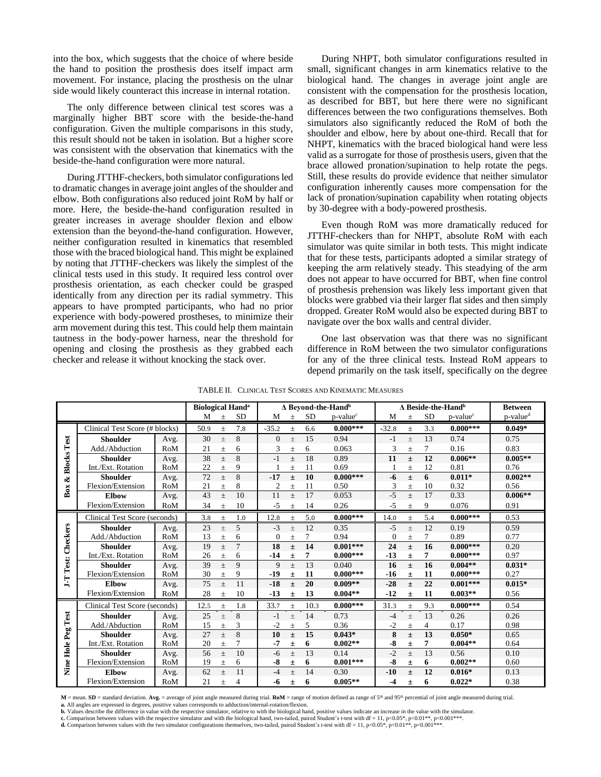into the box, which suggests that the choice of where beside the hand to position the prosthesis does itself impact arm movement. For instance, placing the prosthesis on the ulnar side would likely counteract this increase in internal rotation.

The only difference between clinical test scores was a marginally higher BBT score with the beside-the-hand configuration. Given the multiple comparisons in this study, this result should not be taken in isolation. But a higher score was consistent with the observation that kinematics with the beside-the-hand configuration were more natural.

During JTTHF-checkers, both simulator configurations led to dramatic changes in average joint angles of the shoulder and elbow. Both configurations also reduced joint RoM by half or more. Here, the beside-the-hand configuration resulted in greater increases in average shoulder flexion and elbow extension than the beyond-the-hand configuration. However, neither configuration resulted in kinematics that resembled those with the braced biological hand. This might be explained by noting that JTTHF-checkers was likely the simplest of the clinical tests used in this study. It required less control over prosthesis orientation, as each checker could be grasped identically from any direction per its radial symmetry. This appears to have prompted participants, who had no prior experience with body-powered prostheses, to minimize their arm movement during this test. This could help them maintain tautness in the body-power harness, near the threshold for opening and closing the prosthesis as they grabbed each checker and release it without knocking the stack over.

During NHPT, both simulator configurations resulted in small, significant changes in arm kinematics relative to the biological hand. The changes in average joint angle are consistent with the compensation for the prosthesis location, as described for BBT, but here there were no significant differences between the two configurations themselves. Both simulators also significantly reduced the RoM of both the shoulder and elbow, here by about one-third. Recall that for NHPT, kinematics with the braced biological hand were less valid as a surrogate for those of prosthesis users, given that the brace allowed pronation/supination to help rotate the pegs. Still, these results do provide evidence that neither simulator configuration inherently causes more compensation for the lack of pronation/supination capability when rotating objects by 30-degree with a body-powered prosthesis.

Even though RoM was more dramatically reduced for JTTHF-checkers than for NHPT, absolute RoM with each simulator was quite similar in both tests. This might indicate that for these tests, participants adopted a similar strategy of keeping the arm relatively steady. This steadying of the arm does not appear to have occurred for BBT, when fine control of prosthesis prehension was likely less important given that blocks were grabbed via their larger flat sides and then simply dropped. Greater RoM would also be expected during BBT to navigate over the box walls and central divider.

One last observation was that there was no significant difference in RoM between the two simulator configurations for any of the three clinical tests. Instead RoM appears to depend primarily on the task itself, specifically on the degree

|                         |                                | <b>Biological Hand<sup>a</sup></b> |      |       | ∆ Beyond-the-Hand <sup>b</sup> |             |                   |           | $\Delta$ Beside-the-Hand <sup>b</sup> |          |        |           | <b>Between</b>       |                      |
|-------------------------|--------------------------------|------------------------------------|------|-------|--------------------------------|-------------|-------------------|-----------|---------------------------------------|----------|--------|-----------|----------------------|----------------------|
|                         |                                |                                    | М    | $\pm$ | <b>SD</b>                      | M           | 士                 | <b>SD</b> | p-value <sup>c</sup>                  | M        | $^{+}$ | <b>SD</b> | p-value <sup>c</sup> | p-value <sup>d</sup> |
| <b>Blocks Test</b><br>ళ | Clinical Test Score (# blocks) |                                    | 50.9 | 士     | 7.8                            | $-35.2$     | 士                 | 6.6       | $0.000***$                            | $-32.8$  | 士      | 3.3       | $0.000***$           | $0.049*$             |
|                         | <b>Shoulder</b>                | Avg.                               | 30   | $\pm$ | 8                              | $\Omega$    | $^+ \,$           | 15        | 0.94                                  | $-1$     |        | 13        | 0.74                 | 0.75                 |
|                         | Add./Abduction                 | RoM                                | 21   | $\pm$ | 6                              | 3           | 土                 | 6         | 0.063                                 | 3        | $\pm$  | 7         | 0.16                 | 0.83                 |
|                         | <b>Shoulder</b>                | Avg.                               | 38   | $\pm$ | 8                              | $-1$        |                   | 18        | 0.89                                  | 11       | $\pm$  | 12        | $0.006**$            | $0.005**$            |
|                         | Int./Ext. Rotation             | RoM                                | 22   | 士     | 9                              |             | 士                 | 11        | 0.69                                  |          | 士      | 12        | 0.81                 | 0.76                 |
|                         | <b>Shoulder</b>                | Avg.                               | 72   | $\pm$ | 8                              | $-17$       | $\pm$             | 10        | $0.000***$                            | -6       | $\pm$  | 6         | $0.011*$             | $0.002**$            |
| Box                     | Flexion/Extension              | RoM                                | 21   | $\pm$ | 8                              | 2           | $\pm$             | 11        | 0.50                                  | 3        | $\pm$  | 10        | 0.32                 | 0.56                 |
|                         | Elbow                          | Avg.                               | 43   | $\pm$ | 10                             | 11          | $\pm$             | 17        | 0.053                                 | $-5$     | $\pm$  | 17        | 0.33                 | $0.006**$            |
|                         | Flexion/Extension              | RoM                                | 34   | $\pm$ | 10                             | $-5$        | $\pm$             | 14        | 0.26                                  | $-5$     | $\pm$  | 9         | 0.076                | 0.91                 |
|                         | Clinical Test Score (seconds)  |                                    | 3.8  | $\pm$ | 1.0                            | 12.8        | $\pm$             | 5.0       | $0.000***$                            | 14.0     | $\pm$  | 5.4       | $0.000***$           | 0.53                 |
|                         | <b>Shoulder</b>                | Avg.                               | 23   | $\pm$ | 5                              | $-3$        | $\pm$             | 12        | 0.35                                  | $-5$     | $^+$   | 12        | 0.19                 | 0.59                 |
| Checkers                | Add./Abduction                 | RoM                                | 13   | $\pm$ | 6                              | 0           | $\pm$             | 7         | 0.94                                  | $\Omega$ | $\pm$  | 7         | 0.89                 | 0.77                 |
|                         | <b>Shoulder</b>                | Avg.                               | 19   | $\pm$ | $\overline{7}$                 | 18          | $\pm$             | 14        | $0.001***$                            | 24       | $\pm$  | 16        | $0.000***$           | 0.20                 |
|                         | Int./Ext. Rotation             | RoM                                | 26   | $\pm$ | 6                              | $-14$       | $\pm$             | 7         | $0.000***$                            | $-13$    | ±      | 7         | $0.000***$           | 0.97                 |
| Test:                   | <b>Shoulder</b>                | Avg.                               | 39   | $\pm$ | 9                              | $\mathbf Q$ | $\pm$             | 13        | 0.040                                 | 16       | $\pm$  | 16        | $0.004**$            | $0.031*$             |
| Ę                       | Flexion/Extension              | RoM                                | 30   | 士     | 9                              | $-19$       | $\pm$             | 11        | $0.000***$                            | $-16$    | $\pm$  | 11        | $0.000***$           | 0.27                 |
| ∽                       | Elbow                          | Avg.                               | 75   | $^+$  | 11                             | $-18$       | $\pm$             | 20        | $0.009**$                             | $-28$    | $\pm$  | 22        | $0.001***$           | $0.015*$             |
|                         | Flexion/Extension              | RoM                                | 28   | 土     | 10                             | $-13$       | $\pm$             | 13        | $0.004**$                             | $-12$    | 士      | 11        | $0.003**$            | 0.56                 |
|                         | Clinical Test Score (seconds)  |                                    | 12.5 | $\pm$ | 1.8                            | 33.7        | $\pm$             | 10.3      | $0.000***$                            | 31.3     | $\pm$  | 9.3       | $0.000***$           | 0.54                 |
| Test                    | <b>Shoulder</b>                | Avg.                               | 25   | $\pm$ | 8                              | $-1$        | $\pm$             | 14        | 0.73                                  | $-4$     | $\pm$  | 13        | 0.26                 | 0.26                 |
|                         | Add./Abduction                 | RoM                                | 15   | 士     | 3                              | $-2$        | $\pm$             | 5         | 0.36                                  | $-2$     | 士      | 4         | 0.17                 | 0.98                 |
| Nine Hole Peg           | <b>Shoulder</b>                | Avg.                               | 27   | $\pm$ | 8                              | 10          | $\pm$             | 15        | $0.043*$                              | 8        | $\pm$  | 13        | $0.050*$             | 0.65                 |
|                         | Int./Ext. Rotation             | RoM                                | 20   |       | 7                              | -7          | $\pm$             | 6         | $0.002**$                             | -8       | $\pm$  | 7         | $0.004**$            | 0.64                 |
|                         | <b>Shoulder</b>                | Avg.                               | 56   | $\pm$ | 10                             | $-6$        | $\pm$             | 13        | 0.14                                  | $-2$     | $\pm$  | 13        | 0.56                 | 0.10                 |
|                         | Flexion/Extension              | RoM                                | 19   | $\pm$ | 6                              | -8          | $\pm$             | 6         | $0.001***$                            | -8       | $\pm$  | 6         | $0.002**$            | 0.60                 |
|                         | Elbow                          | Avg.                               | 62   | $\pm$ | 11                             | $-4$        | $\qquad \qquad +$ | 14        | 0.30                                  | $-10$    | $\pm$  | 12        | $0.016*$             | 0.13                 |
|                         | Flexion/Extension              | RoM                                | 21   | $\pm$ | 4                              | -6          | 士                 | 6         | $0.005**$                             | -4       | ±      | 6         | $0.022*$             | 0.38                 |

TABLE II. CLINICAL TEST SCORES AND KINEMATIC MEASURES

 $M =$  mean. **SD** = standard deviation. **Avg.** = average of joint angle measured during trial. **RoM** = range of motion defined as range of 5<sup>th</sup> and 95<sup>th</sup> percential of joint angle measured during trial.

**a.** All angles are expressed in degrees, positive values corresponds to adduction/internal-rotation/flexion.

**b.** Values describe the difference in value with the respective simulator, relative to with the biological hand, positive values indicate an increase in the value with the simulator.

**c.** Comparison between values with the respective simulator and with the biological hand, two-tailed, paired Student's t-test with df = 11, p<0.05\*, p<0.01\*\*, p<0.001\*\*\*.

**d.** Comparison between values with the two simulator configurations themselves, two-tailed, paired Student's t-test with df = 11, p<0.05\*, p<0.01\*\*, p<0.001\*